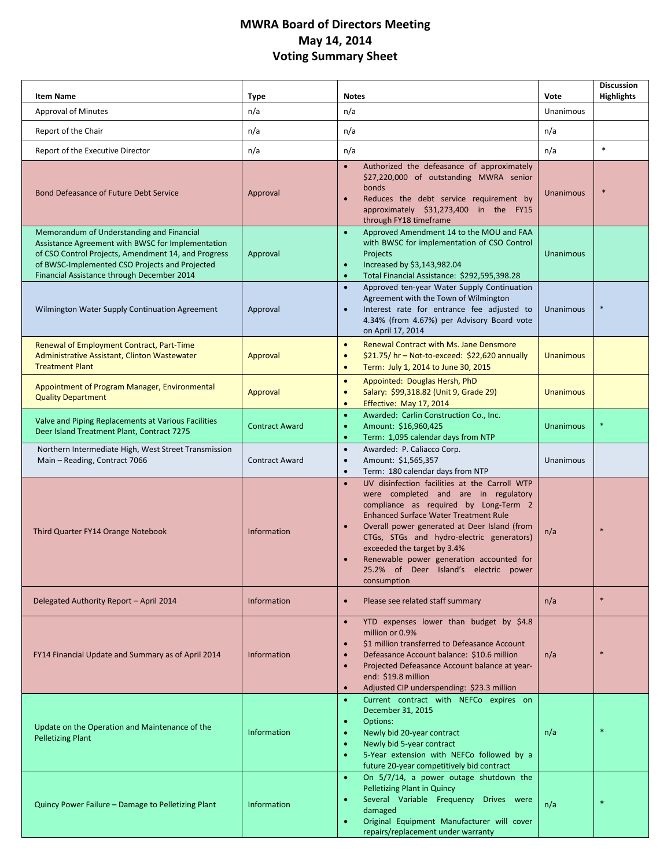# **MWRA Board of Directors Meeting May 14, 2014 Voting Summary Sheet**

| <b>Item Name</b>                                                                                                                                                                                                                                      | <b>Type</b>           | <b>Notes</b>                                                                                                                                                                                                                                                                                                                                                                                                                | Vote             | <b>Discussion</b><br><b>Highlights</b> |
|-------------------------------------------------------------------------------------------------------------------------------------------------------------------------------------------------------------------------------------------------------|-----------------------|-----------------------------------------------------------------------------------------------------------------------------------------------------------------------------------------------------------------------------------------------------------------------------------------------------------------------------------------------------------------------------------------------------------------------------|------------------|----------------------------------------|
| <b>Approval of Minutes</b>                                                                                                                                                                                                                            | n/a                   | n/a                                                                                                                                                                                                                                                                                                                                                                                                                         | Unanimous        |                                        |
| Report of the Chair                                                                                                                                                                                                                                   | n/a                   | n/a                                                                                                                                                                                                                                                                                                                                                                                                                         | n/a              |                                        |
| Report of the Executive Director                                                                                                                                                                                                                      | n/a                   | n/a                                                                                                                                                                                                                                                                                                                                                                                                                         | n/a              | $\ast$                                 |
| <b>Bond Defeasance of Future Debt Service</b>                                                                                                                                                                                                         | Approval              | Authorized the defeasance of approximately<br>$\bullet$<br>\$27,220,000 of outstanding MWRA senior<br>bonds<br>Reduces the debt service requirement by<br>$\bullet$<br>approximately \$31,273,400 in the FY15<br>through FY18 timeframe                                                                                                                                                                                     | Unanimous        | $\ast$                                 |
| Memorandum of Understanding and Financial<br>Assistance Agreement with BWSC for Implementation<br>of CSO Control Projects, Amendment 14, and Progress<br>of BWSC-Implemented CSO Projects and Projected<br>Financial Assistance through December 2014 | Approval              | Approved Amendment 14 to the MOU and FAA<br>$\bullet$<br>with BWSC for implementation of CSO Control<br>Projects<br>Increased by \$3,143,982.04<br>$\bullet$<br>Total Financial Assistance: \$292,595,398.28<br>$\bullet$                                                                                                                                                                                                   | Unanimous        |                                        |
| Wilmington Water Supply Continuation Agreement                                                                                                                                                                                                        | Approval              | Approved ten-year Water Supply Continuation<br>$\bullet$<br>Agreement with the Town of Wilmington<br>Interest rate for entrance fee adjusted to<br>$\bullet$<br>4.34% (from 4.67%) per Advisory Board vote<br>on April 17, 2014                                                                                                                                                                                             | Unanimous        | $\ast$                                 |
| Renewal of Employment Contract, Part-Time<br>Administrative Assistant, Clinton Wastewater<br><b>Treatment Plant</b>                                                                                                                                   | Approval              | <b>Renewal Contract with Ms. Jane Densmore</b><br>$\bullet$<br>\$21.75/ hr - Not-to-exceed: \$22,620 annually<br>$\bullet$<br>Term: July 1, 2014 to June 30, 2015<br>$\bullet$                                                                                                                                                                                                                                              | <b>Unanimous</b> |                                        |
| Appointment of Program Manager, Environmental<br><b>Quality Department</b>                                                                                                                                                                            | Approval              | Appointed: Douglas Hersh, PhD<br>$\bullet$<br>Salary: \$99,318.82 (Unit 9, Grade 29)<br>$\bullet$<br>Effective: May 17, 2014<br>$\bullet$                                                                                                                                                                                                                                                                                   | <b>Unanimous</b> |                                        |
| Valve and Piping Replacements at Various Facilities<br>Deer Island Treatment Plant, Contract 7275                                                                                                                                                     | <b>Contract Award</b> | Awarded: Carlin Construction Co., Inc.<br>$\bullet$<br>Amount: \$16,960,425<br>$\bullet$<br>Term: 1,095 calendar days from NTP<br>$\bullet$                                                                                                                                                                                                                                                                                 | <b>Unanimous</b> |                                        |
| Northern Intermediate High, West Street Transmission<br>Main - Reading, Contract 7066                                                                                                                                                                 | <b>Contract Award</b> | Awarded: P. Caliacco Corp.<br>$\bullet$<br>Amount: \$1,565,357<br>$\bullet$<br>Term: 180 calendar days from NTP<br>$\bullet$                                                                                                                                                                                                                                                                                                | Unanimous        |                                        |
| Third Quarter FY14 Orange Notebook                                                                                                                                                                                                                    | Information           | UV disinfection facilities at the Carroll WTP<br>$\bullet$<br>were completed and are in regulatory<br>compliance as required by Long-Term 2<br><b>Enhanced Surface Water Treatment Rule</b><br>Overall power generated at Deer Island (from<br>CTGs, STGs and hydro-electric generators)<br>exceeded the target by 3.4%<br>Renewable power generation accounted for<br>25.2% of Deer Island's electric power<br>consumption | n/a              |                                        |
| Delegated Authority Report - April 2014                                                                                                                                                                                                               | Information           | Please see related staff summary<br>$\bullet$                                                                                                                                                                                                                                                                                                                                                                               | n/a              | $\ast$                                 |
| FY14 Financial Update and Summary as of April 2014                                                                                                                                                                                                    | Information           | YTD expenses lower than budget by \$4.8<br>$\bullet$<br>million or 0.9%<br>\$1 million transferred to Defeasance Account<br>$\bullet$<br>Defeasance Account balance: \$10.6 million<br>Projected Defeasance Account balance at year-<br>$\bullet$<br>end: \$19.8 million<br>Adjusted CIP underspending: \$23.3 million                                                                                                      | n/a              |                                        |
| Update on the Operation and Maintenance of the<br><b>Pelletizing Plant</b>                                                                                                                                                                            | Information           | Current contract with NEFCo expires on<br>$\bullet$<br>December 31, 2015<br>Options:<br>٠<br>Newly bid 20-year contract<br>$\bullet$<br>Newly bid 5-year contract<br>$\bullet$<br>5-Year extension with NEFCo followed by a<br>future 20-year competitively bid contract                                                                                                                                                    | n/a              |                                        |
| Quincy Power Failure - Damage to Pelletizing Plant                                                                                                                                                                                                    | Information           | On 5/7/14, a power outage shutdown the<br>$\bullet$<br><b>Pelletizing Plant in Quincy</b><br>Several Variable Frequency Drives were<br>damaged<br>Original Equipment Manufacturer will cover<br>repairs/replacement under warranty                                                                                                                                                                                          | n/a              |                                        |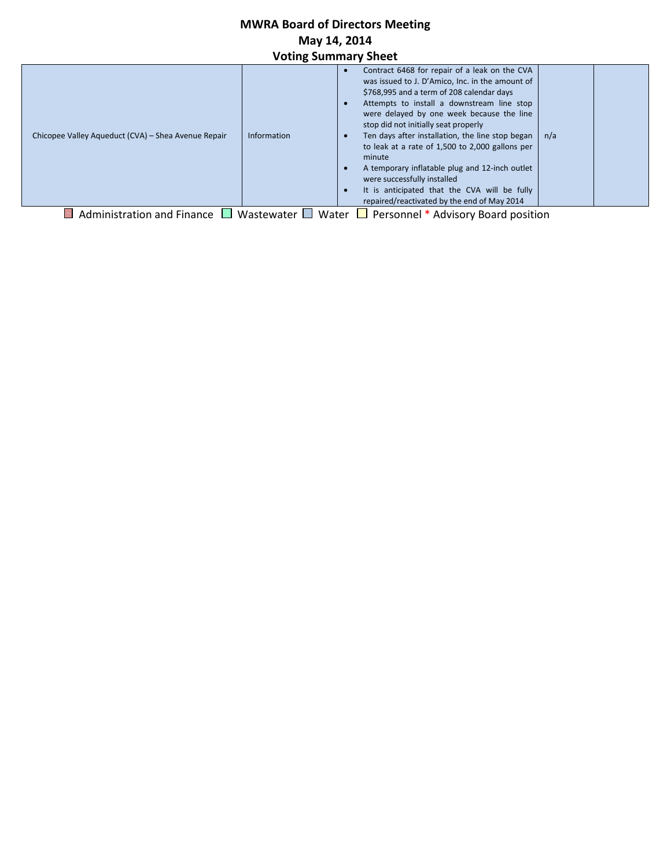#### **MWRA Board of Directors Meeting May 14, 2014 Voting Summary Sheet**

| <b>VOTING SUMMARY SHEET</b>                                                                      |             |                                                                                                                                                                                                                                                                                                                                                                                                                                                                                                                                                                                          |  |  |  |  |
|--------------------------------------------------------------------------------------------------|-------------|------------------------------------------------------------------------------------------------------------------------------------------------------------------------------------------------------------------------------------------------------------------------------------------------------------------------------------------------------------------------------------------------------------------------------------------------------------------------------------------------------------------------------------------------------------------------------------------|--|--|--|--|
| Chicopee Valley Aqueduct (CVA) - Shea Avenue Repair                                              | Information | Contract 6468 for repair of a leak on the CVA<br>was issued to J. D'Amico, Inc. in the amount of<br>\$768,995 and a term of 208 calendar days<br>Attempts to install a downstream line stop<br>were delayed by one week because the line<br>stop did not initially seat properly<br>Ten days after installation, the line stop began<br>n/a<br>to leak at a rate of 1,500 to 2,000 gallons per<br>minute<br>A temporary inflatable plug and 12-inch outlet<br>were successfully installed<br>It is anticipated that the CVA will be fully<br>repaired/reactivated by the end of May 2014 |  |  |  |  |
| Administration and Finance<br>Wastewater $\Box$ Water $\Box$ Personnel * Advisory Board position |             |                                                                                                                                                                                                                                                                                                                                                                                                                                                                                                                                                                                          |  |  |  |  |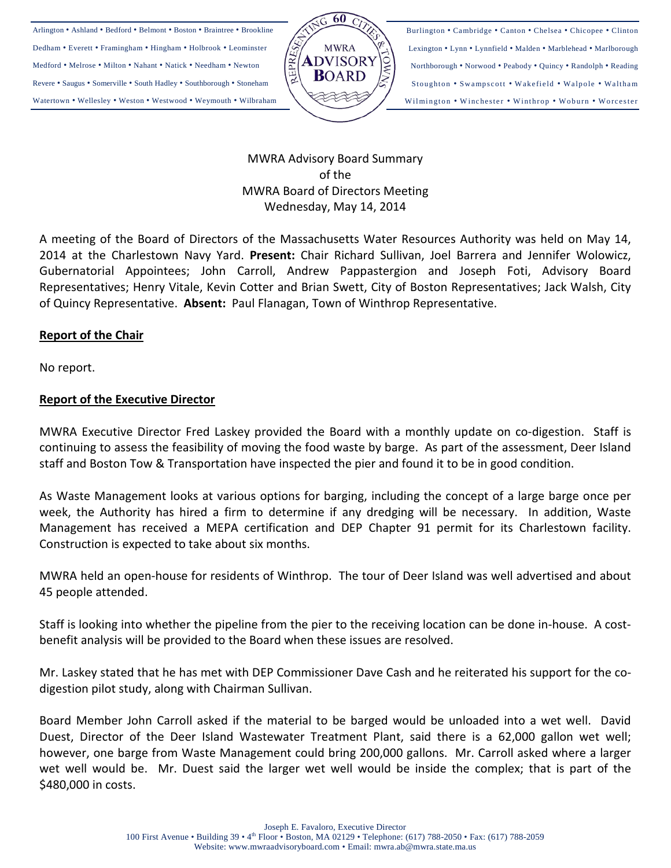Arlington • Ashland • Bedford • Belmont • Boston • Braintree • Brookline Dedham • Everett • Framingham • Hingham • Holbrook • Leominster Medford • Melrose • Milton • Nahant • Natick • Needham • Newton Revere • Saugus • Somerville • South Hadley • Southborough • Stoneham Watertown • Wellesley • Weston • Westwood • Weymouth • Wilbraham



Burlington • Cambridge • Canton • Chelsea • Chicopee • Clinton Lexington • Lynn • Lynnfield • Malden • Marblehead • Marlborough Northborough • Norwood • Peabody • Quincy • Randolph • Reading Stoughton • Swampscott • Wakefield • Walpole • Waltham Wilmington • Winchester • Winthrop • Woburn • Worcester

# MWRA Advisory Board Summary of the MWRA Board of Directors Meeting Wednesday, May 14, 2014

A meeting of the Board of Directors of the Massachusetts Water Resources Authority was held on May 14, 2014 at the Charlestown Navy Yard. **Present:** Chair Richard Sullivan, Joel Barrera and Jennifer Wolowicz, Gubernatorial Appointees; John Carroll, Andrew Pappastergion and Joseph Foti, Advisory Board Representatives; Henry Vitale, Kevin Cotter and Brian Swett, City of Boston Representatives; Jack Walsh, City of Quincy Representative. **Absent:** Paul Flanagan, Town of Winthrop Representative.

# **Report of the Chair**

No report.

# **Report of the Executive Director**

MWRA Executive Director Fred Laskey provided the Board with a monthly update on co-digestion. Staff is continuing to assess the feasibility of moving the food waste by barge. As part of the assessment, Deer Island staff and Boston Tow & Transportation have inspected the pier and found it to be in good condition.

As Waste Management looks at various options for barging, including the concept of a large barge once per week, the Authority has hired a firm to determine if any dredging will be necessary. In addition, Waste Management has received a MEPA certification and DEP Chapter 91 permit for its Charlestown facility. Construction is expected to take about six months.

MWRA held an open-house for residents of Winthrop. The tour of Deer Island was well advertised and about 45 people attended.

Staff is looking into whether the pipeline from the pier to the receiving location can be done in-house. A costbenefit analysis will be provided to the Board when these issues are resolved.

Mr. Laskey stated that he has met with DEP Commissioner Dave Cash and he reiterated his support for the codigestion pilot study, along with Chairman Sullivan.

Board Member John Carroll asked if the material to be barged would be unloaded into a wet well. David Duest, Director of the Deer Island Wastewater Treatment Plant, said there is a 62,000 gallon wet well; however, one barge from Waste Management could bring 200,000 gallons. Mr. Carroll asked where a larger wet well would be. Mr. Duest said the larger wet well would be inside the complex; that is part of the \$480,000 in costs.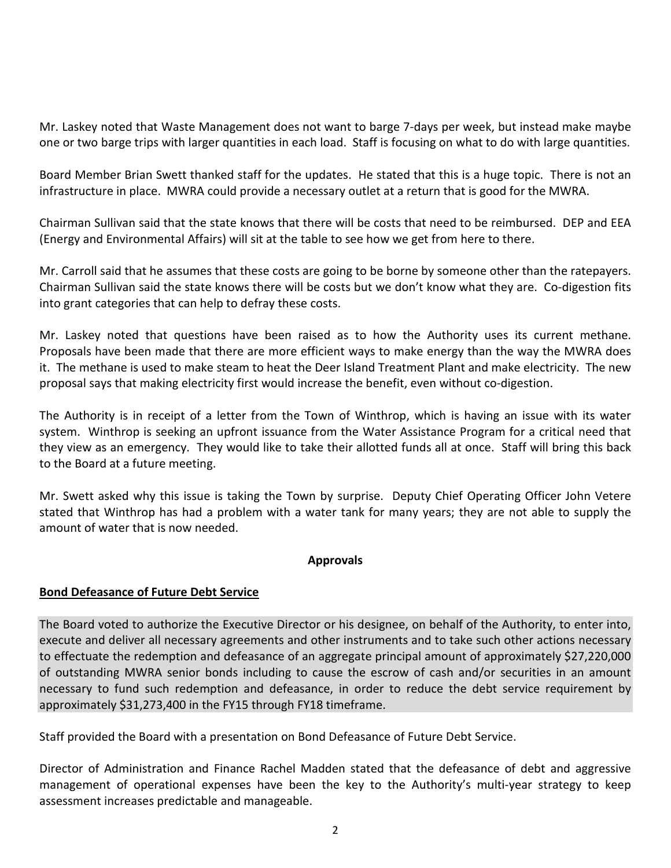Mr. Laskey noted that Waste Management does not want to barge 7-days per week, but instead make maybe one or two barge trips with larger quantities in each load. Staff is focusing on what to do with large quantities.

Board Member Brian Swett thanked staff for the updates. He stated that this is a huge topic. There is not an infrastructure in place. MWRA could provide a necessary outlet at a return that is good for the MWRA.

Chairman Sullivan said that the state knows that there will be costs that need to be reimbursed. DEP and EEA (Energy and Environmental Affairs) will sit at the table to see how we get from here to there.

Mr. Carroll said that he assumes that these costs are going to be borne by someone other than the ratepayers. Chairman Sullivan said the state knows there will be costs but we don't know what they are. Co-digestion fits into grant categories that can help to defray these costs.

Mr. Laskey noted that questions have been raised as to how the Authority uses its current methane. Proposals have been made that there are more efficient ways to make energy than the way the MWRA does it. The methane is used to make steam to heat the Deer Island Treatment Plant and make electricity. The new proposal says that making electricity first would increase the benefit, even without co-digestion.

The Authority is in receipt of a letter from the Town of Winthrop, which is having an issue with its water system. Winthrop is seeking an upfront issuance from the Water Assistance Program for a critical need that they view as an emergency. They would like to take their allotted funds all at once. Staff will bring this back to the Board at a future meeting.

Mr. Swett asked why this issue is taking the Town by surprise. Deputy Chief Operating Officer John Vetere stated that Winthrop has had a problem with a water tank for many years; they are not able to supply the amount of water that is now needed.

## **Approvals**

## **Bond Defeasance of Future Debt Service**

The Board voted to authorize the Executive Director or his designee, on behalf of the Authority, to enter into, execute and deliver all necessary agreements and other instruments and to take such other actions necessary to effectuate the redemption and defeasance of an aggregate principal amount of approximately \$27,220,000 of outstanding MWRA senior bonds including to cause the escrow of cash and/or securities in an amount necessary to fund such redemption and defeasance, in order to reduce the debt service requirement by approximately \$31,273,400 in the FY15 through FY18 timeframe.

Staff provided the Board with a presentation on Bond Defeasance of Future Debt Service.

Director of Administration and Finance Rachel Madden stated that the defeasance of debt and aggressive management of operational expenses have been the key to the Authority's multi-year strategy to keep assessment increases predictable and manageable.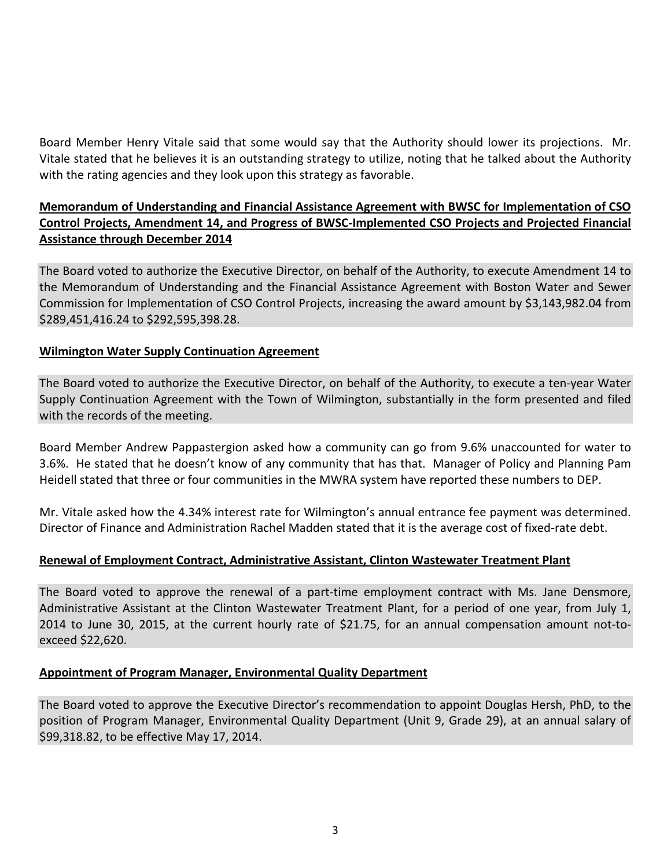Board Member Henry Vitale said that some would say that the Authority should lower its projections. Mr. Vitale stated that he believes it is an outstanding strategy to utilize, noting that he talked about the Authority with the rating agencies and they look upon this strategy as favorable.

# **Memorandum of Understanding and Financial Assistance Agreement with BWSC for Implementation of CSO Control Projects, Amendment 14, and Progress of BWSC-Implemented CSO Projects and Projected Financial Assistance through December 2014**

The Board voted to authorize the Executive Director, on behalf of the Authority, to execute Amendment 14 to the Memorandum of Understanding and the Financial Assistance Agreement with Boston Water and Sewer Commission for Implementation of CSO Control Projects, increasing the award amount by \$3,143,982.04 from \$289,451,416.24 to \$292,595,398.28.

## **Wilmington Water Supply Continuation Agreement**

The Board voted to authorize the Executive Director, on behalf of the Authority, to execute a ten-year Water Supply Continuation Agreement with the Town of Wilmington, substantially in the form presented and filed with the records of the meeting.

Board Member Andrew Pappastergion asked how a community can go from 9.6% unaccounted for water to 3.6%. He stated that he doesn't know of any community that has that. Manager of Policy and Planning Pam Heidell stated that three or four communities in the MWRA system have reported these numbers to DEP.

Mr. Vitale asked how the 4.34% interest rate for Wilmington's annual entrance fee payment was determined. Director of Finance and Administration Rachel Madden stated that it is the average cost of fixed-rate debt.

## **Renewal of Employment Contract, Administrative Assistant, Clinton Wastewater Treatment Plant**

The Board voted to approve the renewal of a part-time employment contract with Ms. Jane Densmore, Administrative Assistant at the Clinton Wastewater Treatment Plant, for a period of one year, from July 1, 2014 to June 30, 2015, at the current hourly rate of \$21.75, for an annual compensation amount not-toexceed \$22,620.

## **Appointment of Program Manager, Environmental Quality Department**

The Board voted to approve the Executive Director's recommendation to appoint Douglas Hersh, PhD, to the position of Program Manager, Environmental Quality Department (Unit 9, Grade 29), at an annual salary of \$99,318.82, to be effective May 17, 2014.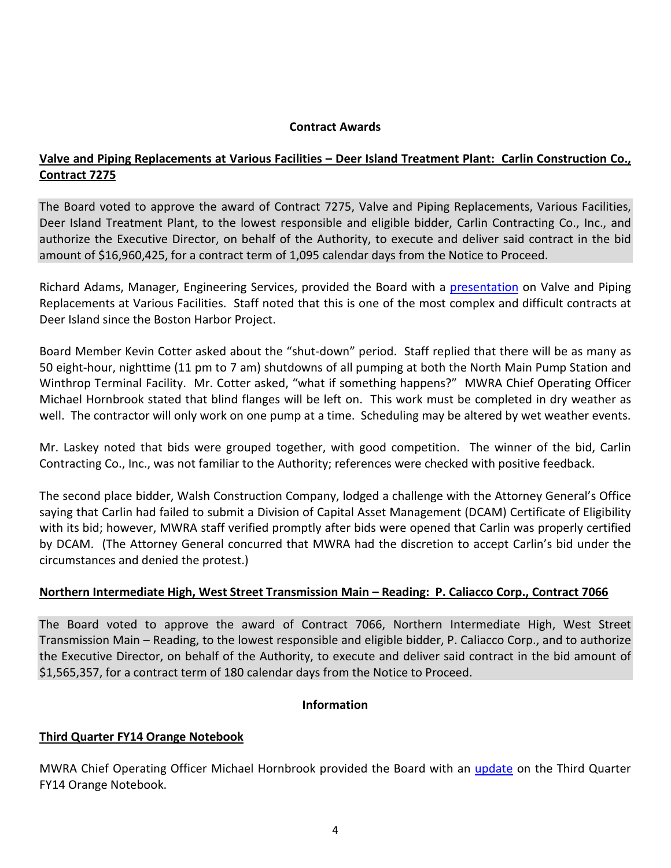### **Contract Awards**

# **Valve and Piping Replacements at Various Facilities – Deer Island Treatment Plant: Carlin Construction Co., Contract 7275**

The Board voted to approve the award of Contract 7275, Valve and Piping Replacements, Various Facilities, Deer Island Treatment Plant, to the lowest responsible and eligible bidder, Carlin Contracting Co., Inc., and authorize the Executive Director, on behalf of the Authority, to execute and deliver said contract in the bid amount of \$16,960,425, for a contract term of 1,095 calendar days from the Notice to Proceed.

Richard Adams, Manager, Engineering Services, provided the Board with a [presentation](http://mwraadvisoryboard.com/wp-content/uploads/2014/05/DITPValveContract5-14-14.pdf) on Valve and Piping Replacements at Various Facilities. Staff noted that this is one of the most complex and difficult contracts at Deer Island since the Boston Harbor Project.

Board Member Kevin Cotter asked about the "shut-down" period. Staff replied that there will be as many as 50 eight-hour, nighttime (11 pm to 7 am) shutdowns of all pumping at both the North Main Pump Station and Winthrop Terminal Facility. Mr. Cotter asked, "what if something happens?" MWRA Chief Operating Officer Michael Hornbrook stated that blind flanges will be left on. This work must be completed in dry weather as well. The contractor will only work on one pump at a time. Scheduling may be altered by wet weather events.

Mr. Laskey noted that bids were grouped together, with good competition. The winner of the bid, Carlin Contracting Co., Inc., was not familiar to the Authority; references were checked with positive feedback.

The second place bidder, Walsh Construction Company, lodged a challenge with the Attorney General's Office saying that Carlin had failed to submit a Division of Capital Asset Management (DCAM) Certificate of Eligibility with its bid; however, MWRA staff verified promptly after bids were opened that Carlin was properly certified by DCAM. (The Attorney General concurred that MWRA had the discretion to accept Carlin's bid under the circumstances and denied the protest.)

## **Northern Intermediate High, West Street Transmission Main – Reading: P. Caliacco Corp., Contract 7066**

The Board voted to approve the award of Contract 7066, Northern Intermediate High, West Street Transmission Main – Reading, to the lowest responsible and eligible bidder, P. Caliacco Corp., and to authorize the Executive Director, on behalf of the Authority, to execute and deliver said contract in the bid amount of \$1,565,357, for a contract term of 180 calendar days from the Notice to Proceed.

### **Information**

### **Third Quarter FY14 Orange Notebook**

MWRA Chief Operating Officer Michael Hornbrook provided the Board with an [update](http://mwraadvisoryboard.com/wp-content/uploads/2014/05/OrangeNotebook5-14-14.pdf) on the Third Quarter FY14 Orange Notebook.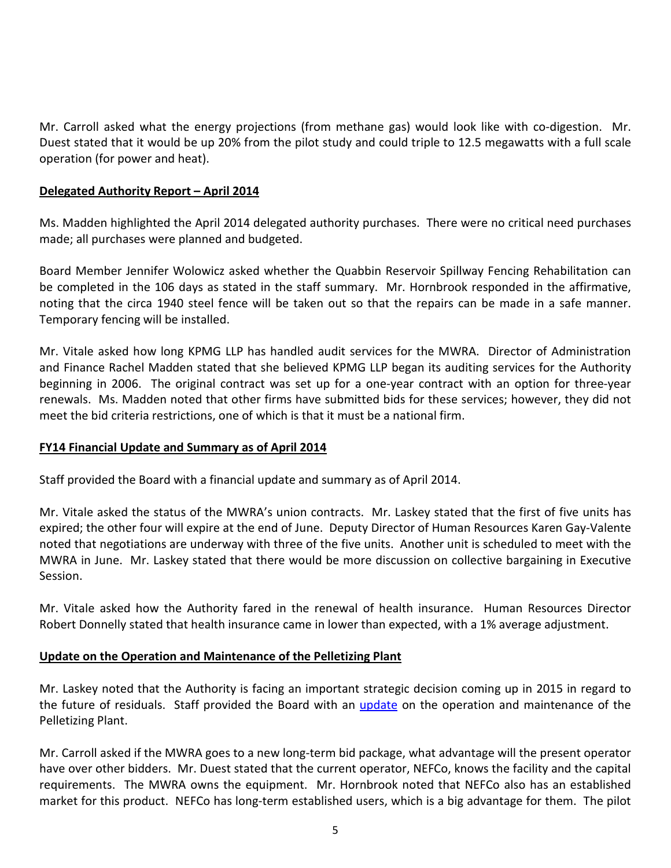Mr. Carroll asked what the energy projections (from methane gas) would look like with co-digestion. Mr. Duest stated that it would be up 20% from the pilot study and could triple to 12.5 megawatts with a full scale operation (for power and heat).

### **Delegated Authority Report – April 2014**

Ms. Madden highlighted the April 2014 delegated authority purchases. There were no critical need purchases made; all purchases were planned and budgeted.

Board Member Jennifer Wolowicz asked whether the Quabbin Reservoir Spillway Fencing Rehabilitation can be completed in the 106 days as stated in the staff summary. Mr. Hornbrook responded in the affirmative, noting that the circa 1940 steel fence will be taken out so that the repairs can be made in a safe manner. Temporary fencing will be installed.

Mr. Vitale asked how long KPMG LLP has handled audit services for the MWRA. Director of Administration and Finance Rachel Madden stated that she believed KPMG LLP began its auditing services for the Authority beginning in 2006. The original contract was set up for a one-year contract with an option for three-year renewals. Ms. Madden noted that other firms have submitted bids for these services; however, they did not meet the bid criteria restrictions, one of which is that it must be a national firm.

### **FY14 Financial Update and Summary as of April 2014**

Staff provided the Board with a financial update and summary as of April 2014.

Mr. Vitale asked the status of the MWRA's union contracts. Mr. Laskey stated that the first of five units has expired; the other four will expire at the end of June. Deputy Director of Human Resources Karen Gay-Valente noted that negotiations are underway with three of the five units. Another unit is scheduled to meet with the MWRA in June. Mr. Laskey stated that there would be more discussion on collective bargaining in Executive Session.

Mr. Vitale asked how the Authority fared in the renewal of health insurance. Human Resources Director Robert Donnelly stated that health insurance came in lower than expected, with a 1% average adjustment.

### **Update on the Operation and Maintenance of the Pelletizing Plant**

Mr. Laskey noted that the Authority is facing an important strategic decision coming up in 2015 in regard to the future of residuals. Staff provided the Board with an [update](http://mwraadvisoryboard.com/wp-content/uploads/2014/05/PelletPlantOMUpdate5-14-14.pdf) on the operation and maintenance of the Pelletizing Plant.

Mr. Carroll asked if the MWRA goes to a new long-term bid package, what advantage will the present operator have over other bidders. Mr. Duest stated that the current operator, NEFCo, knows the facility and the capital requirements. The MWRA owns the equipment. Mr. Hornbrook noted that NEFCo also has an established market for this product. NEFCo has long-term established users, which is a big advantage for them. The pilot